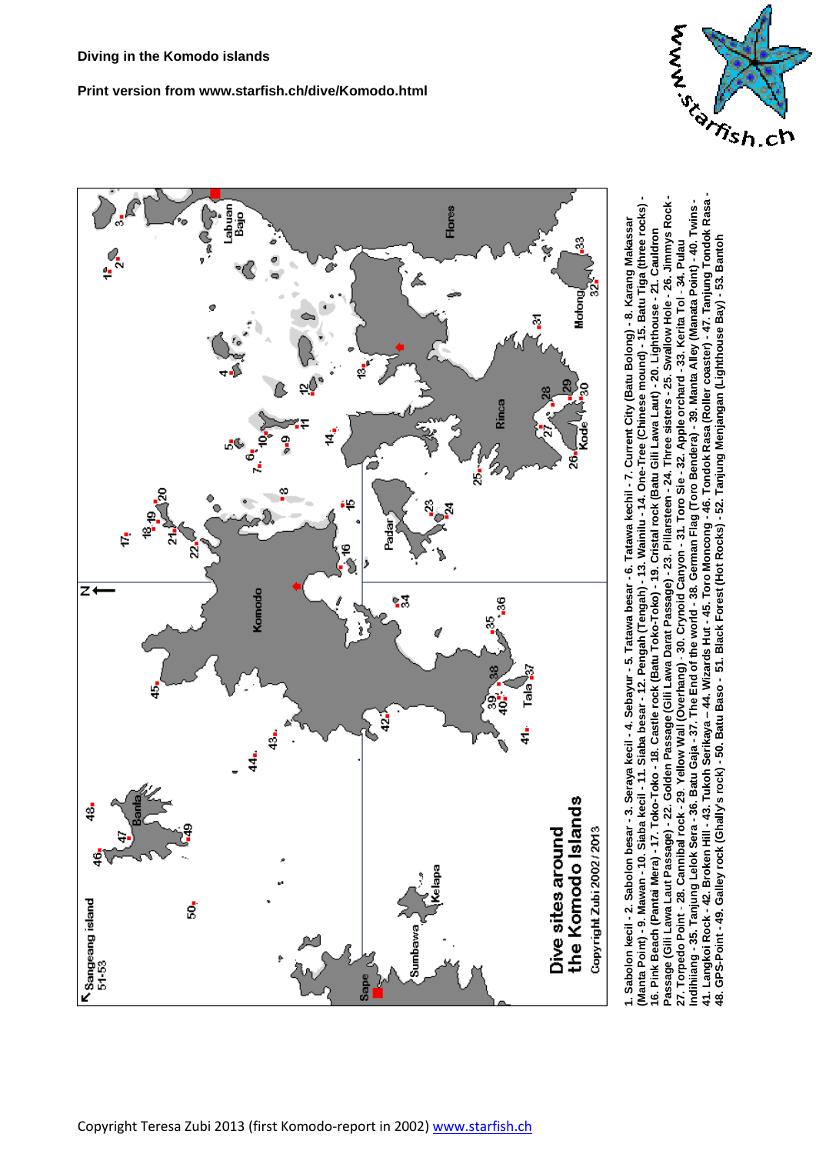# **Print version from www.starfish.ch/dive/Komodo.html**





"The market of the Market of Market Alline of the Market Alline for the Market Alline for the Market Allian School Rasan 14. Chang Tondok Rasan 14. Tanjung Tondok Rasan 14. Tanjung Tondok Rasan 14. Tanjung Tondok Rasan 14 **41. Langkoi Rock - 42. Broken Hill - 43. Tukoh Serikaya – 44. Wizards Hut - 45. Toro Moncong - 46. Tondok Rasa (Roller coaster) - 47. Tanjung Tondok Rasa - Passage (Gili Lawa Laut Passage) - 22. Golden Passage (Gili Lawa Darat Passage) - 23. Pillarsteen - 24. Three sisters - 25. Swallow Hole - 26. Jimmys Rock - (Manta Point) - 9. Mawan - 10. Siaba kecil - 11. Siaba besar - 12. Pengah (Tengah) - 13. Wainilu - 14. One-Tree (Chinese mound) - 15. Batu Tiga (three rocks)**  ndihiiang - 35. Tanjung Lelok Sera - 36. Batu Gaja - 37. The End of the world - 38. German Flag (Toro Bendera) - 39. Manta Alley (Manata Point) - 40. Twins -Passage (Gili Lawa Laut Passage) - 22. Golden Passage (Gili Lawa Darat Passage) - 23. Pillarsteen - 24. Three sisters - 25. Swallow Hole - 26. Jimmys Rock **Indihiiang - 35. Tanjung Lelok Sera - 36. Batu Gaja - 37. The End of the world - 38. German Flag (Toro Bendera) - 39. Manta Alley (Manata Point) - 40. Twins -** Manta Point) - 9. Mawan - 10. Siaba kecil - 11. Siaba besar - 12. Pengah (Tengah) - 13. Wainilu - 14. One-Tree (Chinese mound) - 15. Batu Tiga (three rocks) **1. Sabolon kecil - 2. Sabolon besar - 3. Seraya kecil - 4. Sebayur - 5. Tatawa besar - 6. Tatawa kechil - 7. Current City (Batu Bolong) - 8. Karang Makassar**  l. Sabolon kecil - 2. Sabolon besar - 3. Seraya kecil - 4. Sebayur - 5. Tatawa besar - 6. Tatawa kechil - 7. Current City (Batu Bolong) - 8. Karang Makassar **16. Pink Beach (Pantai Mera) - 17. Toko-Toko - 18. Castle rock (Batu Toko-Toko) - 19. Cristal rock (Batu Gili Lawa Laut) - 20. Lighthouse - 21. Cauldron**  ι6. Pink Beach (Pantai Mera) - 17. Toko-Toko - 18. Castle rock (Batu Toko-Toko) - 19. Cristal rock (Batu Gili Lawa Laut) - 20. Lighthouse - 21. Cauldron **48. GPS-Point - 49. Galley rock (Ghally's rock) - 50. Batu Baso - 51. Black Forest (Hot Rocks) - 52. Tanjung Menjangan (Lighthouse Bay) - 53. Bantoh27. Torpedo Point** - **28. Cannibal rock - 29**. **Yellow Wall (Overhang)** - **30. Crynoid Canyon - 31. Toro Sie - 32. Apple orchard - 33. Kerita Tol** - **34. Pulau**  27. Torpedo Point - 28. Cannibal rock - 29. Yellow Wall (Overhang) - 30. Crynoid Canyon - 31. Toro Sie - 32. Apple orchard - 33. Kerita Tol - 34. Pulau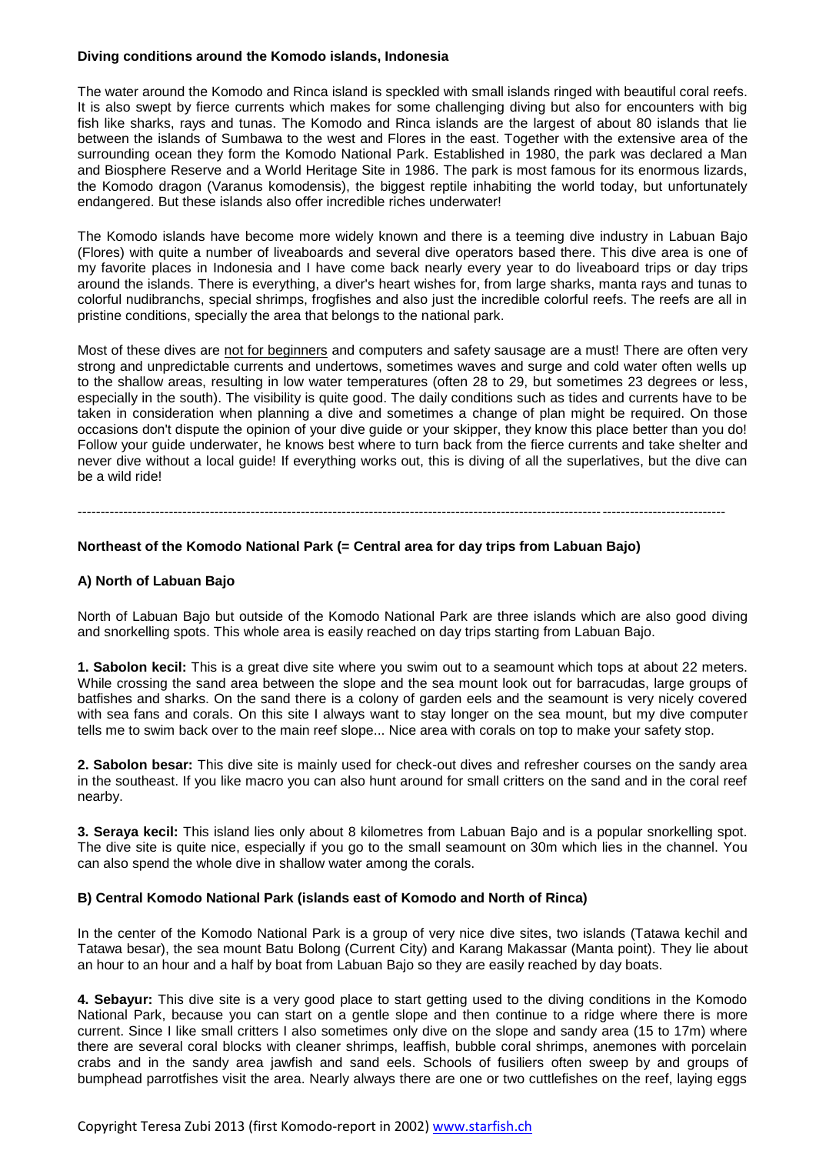## **Diving conditions around the Komodo islands, Indonesia**

The water around the Komodo and Rinca island is speckled with small islands ringed with beautiful coral reefs. It is also swept by fierce currents which makes for some challenging diving but also for encounters with big fish like sharks, rays and tunas. The Komodo and Rinca islands are the largest of about 80 islands that lie between the islands of Sumbawa to the west and Flores in the east. Together with the extensive area of the surrounding ocean they form the Komodo National Park. Established in 1980, the park was declared a Man and Biosphere Reserve and a World Heritage Site in 1986. The park is most famous for its enormous lizards, the Komodo dragon (Varanus komodensis), the biggest reptile inhabiting the world today, but unfortunately endangered. But these islands also offer incredible riches underwater!

The Komodo islands have become more widely known and there is a teeming dive industry in Labuan Bajo (Flores) with quite a number of liveaboards and several dive operators based there. This dive area is one of my favorite places in Indonesia and I have come back nearly every year to do liveaboard trips or day trips around the islands. There is everything, a diver's heart wishes for, from large sharks, manta rays and tunas to colorful nudibranchs, special shrimps, frogfishes and also just the incredible colorful reefs. The reefs are all in pristine conditions, specially the area that belongs to the national park.

Most of these dives are not for beginners and computers and safety sausage are a must! There are often very strong and unpredictable currents and undertows, sometimes waves and surge and cold water often wells up to the shallow areas, resulting in low water temperatures (often 28 to 29, but sometimes 23 degrees or less, especially in the south). The visibility is quite good. The daily conditions such as tides and currents have to be taken in consideration when planning a dive and sometimes a change of plan might be required. On those occasions don't dispute the opinion of your dive guide or your skipper, they know this place better than you do! Follow your guide underwater, he knows best where to turn back from the fierce currents and take shelter and never dive without a local guide! If everything works out, this is diving of all the superlatives, but the dive can be a wild ride!

#### ----------------------------------------------------------------------------------------------------------------------------------------------

# **Northeast of the Komodo National Park (= Central area for day trips from Labuan Bajo)**

## **A) North of Labuan Bajo**

North of Labuan Bajo but outside of the Komodo National Park are three islands which are also good diving and snorkelling spots. This whole area is easily reached on day trips starting from Labuan Bajo.

**1. Sabolon kecil:** This is a great dive site where you swim out to a seamount which tops at about 22 meters. While crossing the sand area between the slope and the sea mount look out for barracudas, large groups of batfishes and sharks. On the sand there is a colony of garden eels and the seamount is very nicely covered with sea fans and corals. On this site I always want to stay longer on the sea mount, but my dive computer tells me to swim back over to the main reef slope... Nice area with corals on top to make your safety stop.

**2. Sabolon besar:** This dive site is mainly used for check-out dives and refresher courses on the sandy area in the southeast. If you like macro you can also hunt around for small critters on the sand and in the coral reef nearby.

**3. Seraya kecil:** This island lies only about 8 kilometres from Labuan Bajo and is a popular snorkelling spot. The dive site is quite nice, especially if you go to the small seamount on 30m which lies in the channel. You can also spend the whole dive in shallow water among the corals.

#### **B) Central Komodo National Park (islands east of Komodo and North of Rinca)**

In the center of the Komodo National Park is a group of very nice dive sites, two islands (Tatawa kechil and Tatawa besar), the sea mount Batu Bolong (Current City) and Karang Makassar (Manta point). They lie about an hour to an hour and a half by boat from Labuan Bajo so they are easily reached by day boats.

**4. Sebayur:** This dive site is a very good place to start getting used to the diving conditions in the Komodo National Park, because you can start on a gentle slope and then continue to a ridge where there is more current. Since I like small critters I also sometimes only dive on the slope and sandy area (15 to 17m) where there are several coral blocks with cleaner shrimps, leaffish, bubble coral shrimps, anemones with porcelain crabs and in the sandy area jawfish and sand eels. Schools of fusiliers often sweep by and groups of bumphead parrotfishes visit the area. Nearly always there are one or two cuttlefishes on the reef, laying eggs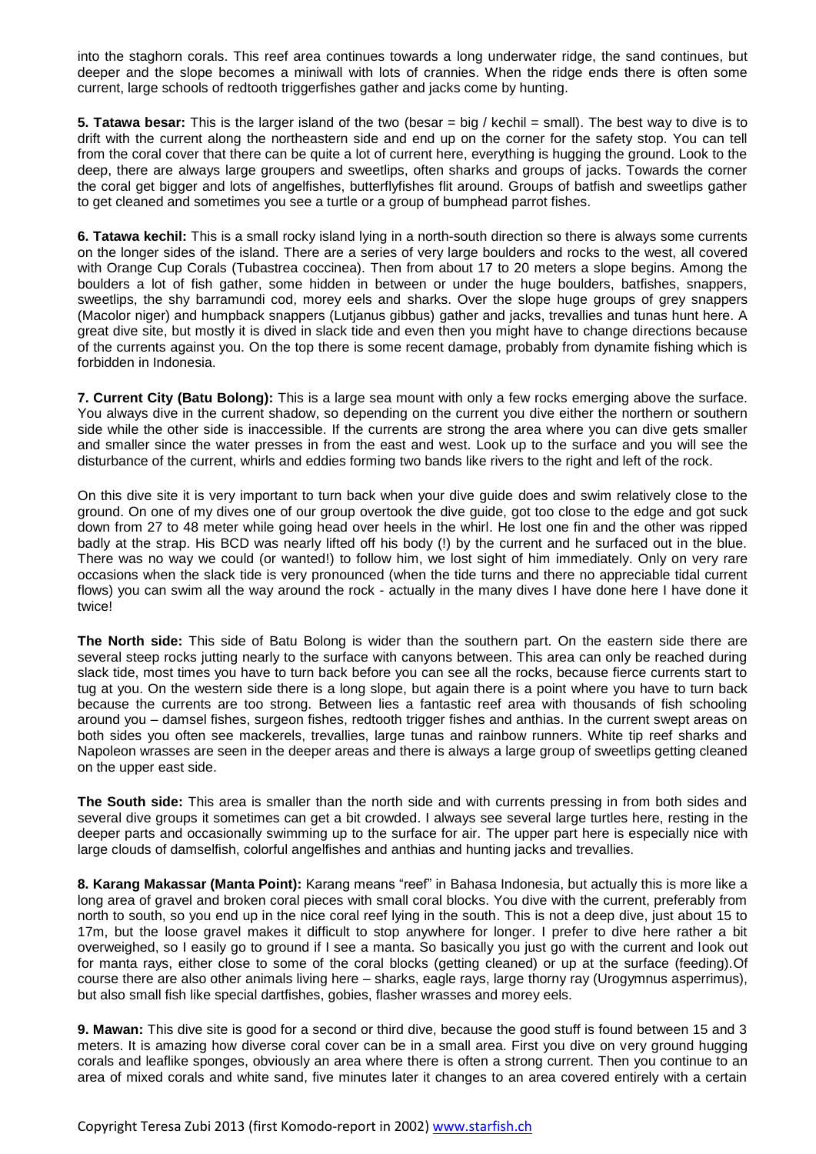into the staghorn corals. This reef area continues towards a long underwater ridge, the sand continues, but deeper and the slope becomes a miniwall with lots of crannies. When the ridge ends there is often some current, large schools of redtooth triggerfishes gather and jacks come by hunting.

**5. Tatawa besar:** This is the larger island of the two (besar = big / kechil = small). The best way to dive is to drift with the current along the northeastern side and end up on the corner for the safety stop. You can tell from the coral cover that there can be quite a lot of current here, everything is hugging the ground. Look to the deep, there are always large groupers and sweetlips, often sharks and groups of jacks. Towards the corner the coral get bigger and lots of angelfishes, butterflyfishes flit around. Groups of batfish and sweetlips gather to get cleaned and sometimes you see a turtle or a group of bumphead parrot fishes.

**6. Tatawa kechil:** This is a small rocky island lying in a north-south direction so there is always some currents on the longer sides of the island. There are a series of very large boulders and rocks to the west, all covered with Orange Cup Corals (Tubastrea coccinea). Then from about 17 to 20 meters a slope begins. Among the boulders a lot of fish gather, some hidden in between or under the huge boulders, batfishes, snappers, sweetlips, the shy barramundi cod, morey eels and sharks. Over the slope huge groups of grey snappers (Macolor niger) and humpback snappers (Lutjanus gibbus) gather and jacks, trevallies and tunas hunt here. A great dive site, but mostly it is dived in slack tide and even then you might have to change directions because of the currents against you. On the top there is some recent damage, probably from dynamite fishing which is forbidden in Indonesia.

**7. Current City (Batu Bolong):** This is a large sea mount with only a few rocks emerging above the surface. You always dive in the current shadow, so depending on the current you dive either the northern or southern side while the other side is inaccessible. If the currents are strong the area where you can dive gets smaller and smaller since the water presses in from the east and west. Look up to the surface and you will see the disturbance of the current, whirls and eddies forming two bands like rivers to the right and left of the rock.

On this dive site it is very important to turn back when your dive guide does and swim relatively close to the ground. On one of my dives one of our group overtook the dive guide, got too close to the edge and got suck down from 27 to 48 meter while going head over heels in the whirl. He lost one fin and the other was ripped badly at the strap. His BCD was nearly lifted off his body (!) by the current and he surfaced out in the blue. There was no way we could (or wanted!) to follow him, we lost sight of him immediately. Only on very rare occasions when the slack tide is very pronounced (when the tide turns and there no appreciable tidal current flows) you can swim all the way around the rock - actually in the many dives I have done here I have done it twice!

**The North side:** This side of Batu Bolong is wider than the southern part. On the eastern side there are several steep rocks jutting nearly to the surface with canyons between. This area can only be reached during slack tide, most times you have to turn back before you can see all the rocks, because fierce currents start to tug at you. On the western side there is a long slope, but again there is a point where you have to turn back because the currents are too strong. Between lies a fantastic reef area with thousands of fish schooling around you – damsel fishes, surgeon fishes, redtooth trigger fishes and anthias. In the current swept areas on both sides you often see mackerels, trevallies, large tunas and rainbow runners. White tip reef sharks and Napoleon wrasses are seen in the deeper areas and there is always a large group of sweetlips getting cleaned on the upper east side.

**The South side:** This area is smaller than the north side and with currents pressing in from both sides and several dive groups it sometimes can get a bit crowded. I always see several large turtles here, resting in the deeper parts and occasionally swimming up to the surface for air. The upper part here is especially nice with large clouds of damselfish, colorful angelfishes and anthias and hunting jacks and trevallies.

**8. Karang Makassar (Manta Point):** Karang means "reef" in Bahasa Indonesia, but actually this is more like a long area of gravel and broken coral pieces with small coral blocks. You dive with the current, preferably from north to south, so you end up in the nice coral reef lying in the south. This is not a deep dive, just about 15 to 17m, but the loose gravel makes it difficult to stop anywhere for longer. I prefer to dive here rather a bit overweighed, so I easily go to ground if I see a manta. So basically you just go with the current and look out for manta rays, either close to some of the coral blocks (getting cleaned) or up at the surface (feeding).Of course there are also other animals living here – sharks, eagle rays, large thorny ray (Urogymnus asperrimus), but also small fish like special dartfishes, gobies, flasher wrasses and morey eels.

**9. Mawan:** This dive site is good for a second or third dive, because the good stuff is found between 15 and 3 meters. It is amazing how diverse coral cover can be in a small area. First you dive on very ground hugging corals and leaflike sponges, obviously an area where there is often a strong current. Then you continue to an area of mixed corals and white sand, five minutes later it changes to an area covered entirely with a certain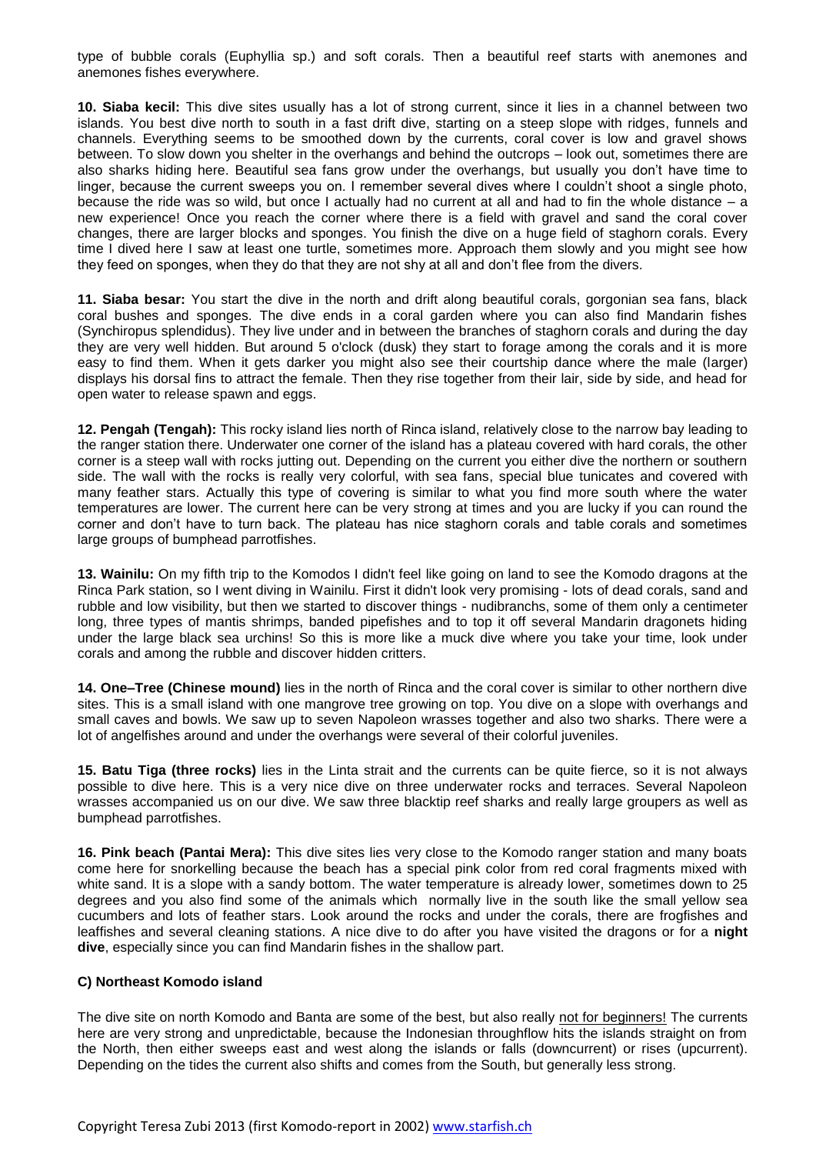type of bubble corals (Euphyllia sp.) and soft corals. Then a beautiful reef starts with anemones and anemones fishes everywhere.

**10. Siaba kecil:** This dive sites usually has a lot of strong current, since it lies in a channel between two islands. You best dive north to south in a fast drift dive, starting on a steep slope with ridges, funnels and channels. Everything seems to be smoothed down by the currents, coral cover is low and gravel shows between. To slow down you shelter in the overhangs and behind the outcrops – look out, sometimes there are also sharks hiding here. Beautiful sea fans grow under the overhangs, but usually you don't have time to linger, because the current sweeps you on. I remember several dives where I couldn't shoot a single photo, because the ride was so wild, but once I actually had no current at all and had to fin the whole distance – a new experience! Once you reach the corner where there is a field with gravel and sand the coral cover changes, there are larger blocks and sponges. You finish the dive on a huge field of staghorn corals. Every time I dived here I saw at least one turtle, sometimes more. Approach them slowly and you might see how they feed on sponges, when they do that they are not shy at all and don't flee from the divers.

**11. Siaba besar:** You start the dive in the north and drift along beautiful corals, gorgonian sea fans, black coral bushes and sponges. The dive ends in a coral garden where you can also find Mandarin fishes (Synchiropus splendidus). They live under and in between the branches of staghorn corals and during the day they are very well hidden. But around 5 o'clock (dusk) they start to forage among the corals and it is more easy to find them. When it gets darker you might also see their courtship dance where the male (larger) displays his dorsal fins to attract the female. Then they rise together from their lair, side by side, and head for open water to release spawn and eggs.

**12. Pengah (Tengah):** This rocky island lies north of Rinca island, relatively close to the narrow bay leading to the ranger station there. Underwater one corner of the island has a plateau covered with hard corals, the other corner is a steep wall with rocks jutting out. Depending on the current you either dive the northern or southern side. The wall with the rocks is really very colorful, with sea fans, special blue tunicates and covered with many feather stars. Actually this type of covering is similar to what you find more south where the water temperatures are lower. The current here can be very strong at times and you are lucky if you can round the corner and don't have to turn back. The plateau has nice staghorn corals and table corals and sometimes large groups of bumphead parrotfishes.

**13. Wainilu:** On my fifth trip to the Komodos I didn't feel like going on land to see the Komodo dragons at the Rinca Park station, so I went diving in Wainilu. First it didn't look very promising - lots of dead corals, sand and rubble and low visibility, but then we started to discover things - nudibranchs, some of them only a centimeter long, three types of mantis shrimps, banded pipefishes and to top it off several Mandarin dragonets hiding under the large black sea urchins! So this is more like a muck dive where you take your time, look under corals and among the rubble and discover hidden critters.

**14. One–Tree (Chinese mound)** lies in the north of Rinca and the coral cover is similar to other northern dive sites. This is a small island with one mangrove tree growing on top. You dive on a slope with overhangs and small caves and bowls. We saw up to seven Napoleon wrasses together and also two sharks. There were a lot of angelfishes around and under the overhangs were several of their colorful juveniles.

**15. Batu Tiga (three rocks)** lies in the Linta strait and the currents can be quite fierce, so it is not always possible to dive here. This is a very nice dive on three underwater rocks and terraces. Several Napoleon wrasses accompanied us on our dive. We saw three blacktip reef sharks and really large groupers as well as bumphead parrotfishes.

**16. Pink beach (Pantai Mera):** This dive sites lies very close to the Komodo ranger station and many boats come here for snorkelling because the beach has a special pink color from red coral fragments mixed with white sand. It is a slope with a sandy bottom. The water temperature is already lower, sometimes down to 25 degrees and you also find some of the animals which normally live in the south like the small yellow sea cucumbers and lots of feather stars. Look around the rocks and under the corals, there are frogfishes and leaffishes and several cleaning stations. A nice dive to do after you have visited the dragons or for a **night dive**, especially since you can find Mandarin fishes in the shallow part.

# **C) Northeast Komodo island**

The dive site on north Komodo and Banta are some of the best, but also really not for beginners! The currents here are very strong and unpredictable, because the Indonesian throughflow hits the islands straight on from the North, then either sweeps east and west along the islands or falls (downcurrent) or rises (upcurrent). Depending on the tides the current also shifts and comes from the South, but generally less strong.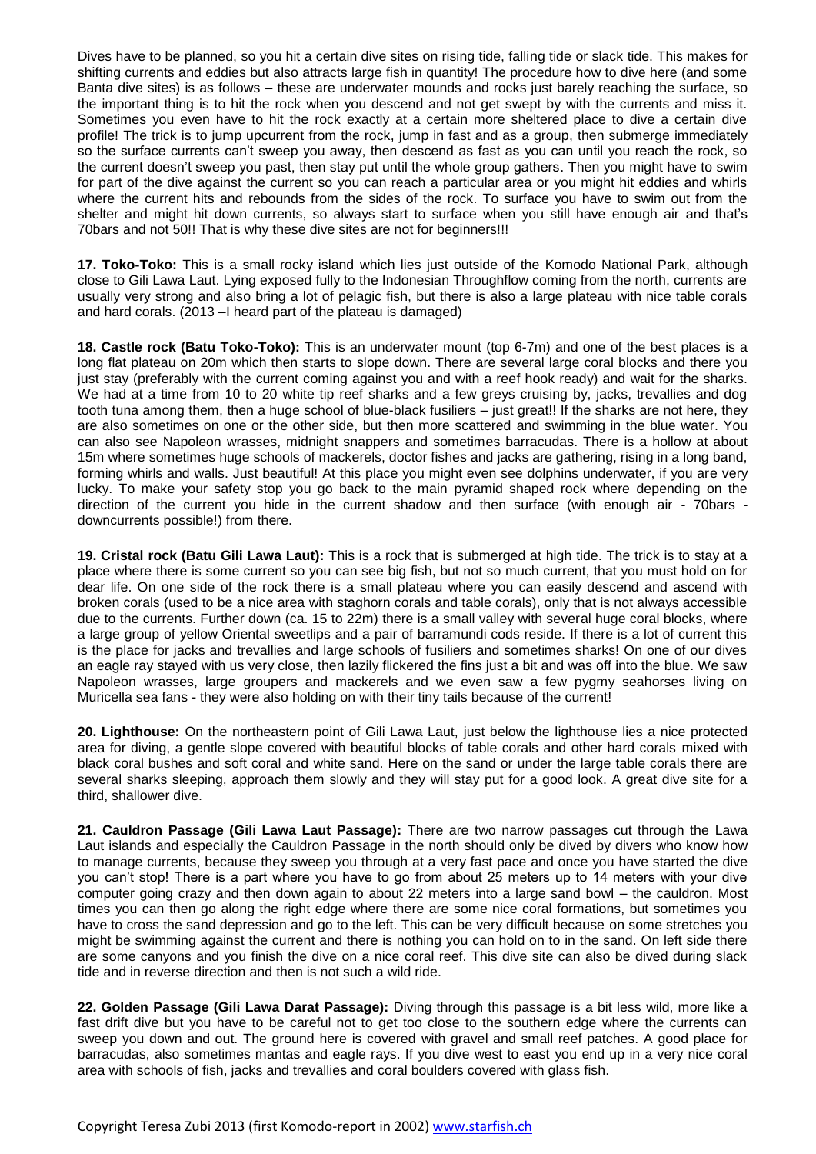Dives have to be planned, so you hit a certain dive sites on rising tide, falling tide or slack tide. This makes for shifting currents and eddies but also attracts large fish in quantity! The procedure how to dive here (and some Banta dive sites) is as follows – these are underwater mounds and rocks just barely reaching the surface, so the important thing is to hit the rock when you descend and not get swept by with the currents and miss it. Sometimes you even have to hit the rock exactly at a certain more sheltered place to dive a certain dive profile! The trick is to jump upcurrent from the rock, jump in fast and as a group, then submerge immediately so the surface currents can't sweep you away, then descend as fast as you can until you reach the rock, so the current doesn't sweep you past, then stay put until the whole group gathers. Then you might have to swim for part of the dive against the current so you can reach a particular area or you might hit eddies and whirls where the current hits and rebounds from the sides of the rock. To surface you have to swim out from the shelter and might hit down currents, so always start to surface when you still have enough air and that's 70bars and not 50!! That is why these dive sites are not for beginners!!!

**17. Toko-Toko:** This is a small rocky island which lies just outside of the Komodo National Park, although close to Gili Lawa Laut. Lying exposed fully to the Indonesian Throughflow coming from the north, currents are usually very strong and also bring a lot of pelagic fish, but there is also a large plateau with nice table corals and hard corals. (2013 –I heard part of the plateau is damaged)

**18. Castle rock (Batu Toko-Toko):** This is an underwater mount (top 6-7m) and one of the best places is a long flat plateau on 20m which then starts to slope down. There are several large coral blocks and there you just stay (preferably with the current coming against you and with a reef hook ready) and wait for the sharks. We had at a time from 10 to 20 white tip reef sharks and a few greys cruising by, jacks, trevallies and dog tooth tuna among them, then a huge school of blue-black fusiliers – just great!! If the sharks are not here, they are also sometimes on one or the other side, but then more scattered and swimming in the blue water. You can also see Napoleon wrasses, midnight snappers and sometimes barracudas. There is a hollow at about 15m where sometimes huge schools of mackerels, doctor fishes and jacks are gathering, rising in a long band, forming whirls and walls. Just beautiful! At this place you might even see dolphins underwater, if you are very lucky. To make your safety stop you go back to the main pyramid shaped rock where depending on the direction of the current you hide in the current shadow and then surface (with enough air - 70bars downcurrents possible!) from there.

**19. Cristal rock (Batu Gili Lawa Laut):** This is a rock that is submerged at high tide. The trick is to stay at a place where there is some current so you can see big fish, but not so much current, that you must hold on for dear life. On one side of the rock there is a small plateau where you can easily descend and ascend with broken corals (used to be a nice area with staghorn corals and table corals), only that is not always accessible due to the currents. Further down (ca. 15 to 22m) there is a small valley with several huge coral blocks, where a large group of yellow Oriental sweetlips and a pair of barramundi cods reside. If there is a lot of current this is the place for jacks and trevallies and large schools of fusiliers and sometimes sharks! On one of our dives an eagle ray stayed with us very close, then lazily flickered the fins just a bit and was off into the blue. We saw Napoleon wrasses, large groupers and mackerels and we even saw a few pygmy seahorses living on Muricella sea fans - they were also holding on with their tiny tails because of the current!

**20. Lighthouse:** On the northeastern point of Gili Lawa Laut, just below the lighthouse lies a nice protected area for diving, a gentle slope covered with beautiful blocks of table corals and other hard corals mixed with black coral bushes and soft coral and white sand. Here on the sand or under the large table corals there are several sharks sleeping, approach them slowly and they will stay put for a good look. A great dive site for a third, shallower dive.

**21. Cauldron Passage (Gili Lawa Laut Passage):** There are two narrow passages cut through the Lawa Laut islands and especially the Cauldron Passage in the north should only be dived by divers who know how to manage currents, because they sweep you through at a very fast pace and once you have started the dive you can't stop! There is a part where you have to go from about 25 meters up to 14 meters with your dive computer going crazy and then down again to about 22 meters into a large sand bowl – the cauldron. Most times you can then go along the right edge where there are some nice coral formations, but sometimes you have to cross the sand depression and go to the left. This can be very difficult because on some stretches you might be swimming against the current and there is nothing you can hold on to in the sand. On left side there are some canyons and you finish the dive on a nice coral reef. This dive site can also be dived during slack tide and in reverse direction and then is not such a wild ride.

**22. Golden Passage (Gili Lawa Darat Passage):** Diving through this passage is a bit less wild, more like a fast drift dive but you have to be careful not to get too close to the southern edge where the currents can sweep you down and out. The ground here is covered with gravel and small reef patches. A good place for barracudas, also sometimes mantas and eagle rays. If you dive west to east you end up in a very nice coral area with schools of fish, jacks and trevallies and coral boulders covered with glass fish.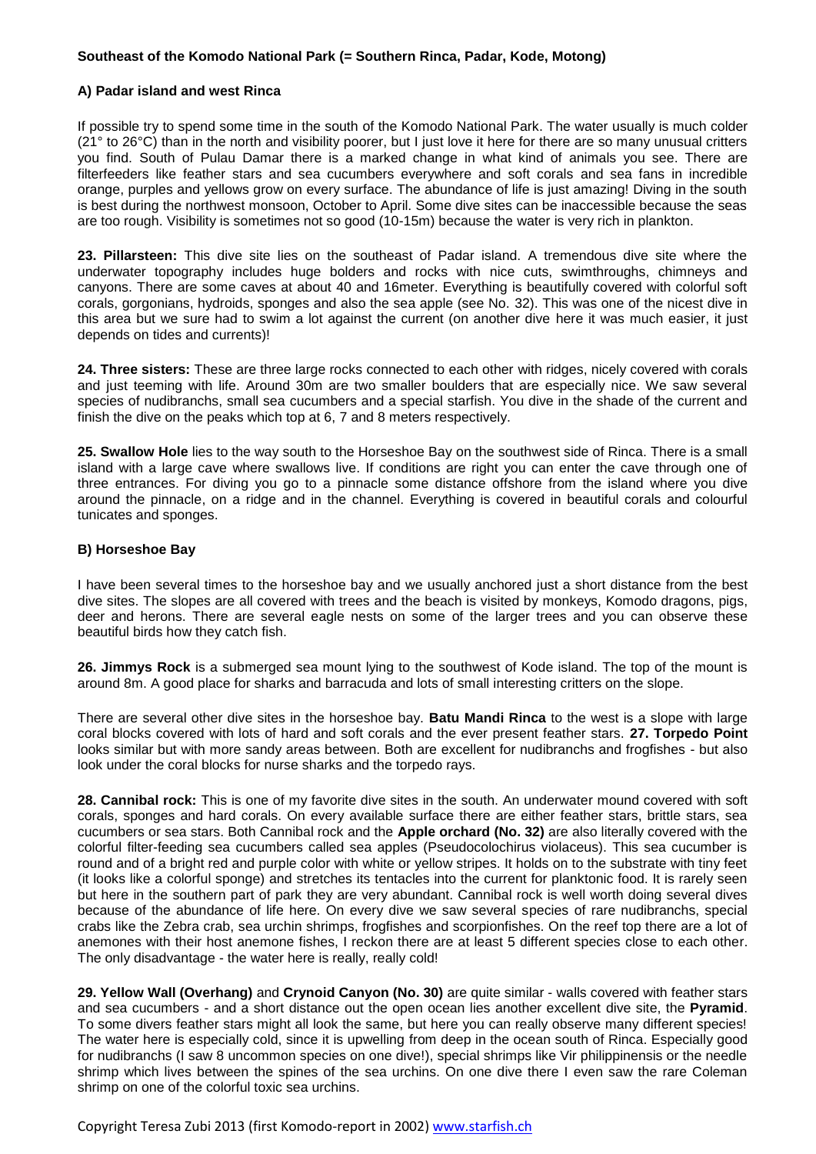## **Southeast of the Komodo National Park (= Southern Rinca, Padar, Kode, Motong)**

## **A) Padar island and west Rinca**

If possible try to spend some time in the south of the Komodo National Park. The water usually is much colder (21° to 26°C) than in the north and visibility poorer, but I just love it here for there are so many unusual critters you find. South of Pulau Damar there is a marked change in what kind of animals you see. There are filterfeeders like feather stars and sea cucumbers everywhere and soft corals and sea fans in incredible orange, purples and yellows grow on every surface. The abundance of life is just amazing! Diving in the south is best during the northwest monsoon, October to April. Some dive sites can be inaccessible because the seas are too rough. Visibility is sometimes not so good (10-15m) because the water is very rich in plankton.

**23. Pillarsteen:** This dive site lies on the southeast of Padar island. A tremendous dive site where the underwater topography includes huge bolders and rocks with nice cuts, swimthroughs, chimneys and canyons. There are some caves at about 40 and 16meter. Everything is beautifully covered with colorful soft corals, gorgonians, hydroids, sponges and also the sea apple (see No. 32). This was one of the nicest dive in this area but we sure had to swim a lot against the current (on another dive here it was much easier, it just depends on tides and currents)!

**24. Three sisters:** These are three large rocks connected to each other with ridges, nicely covered with corals and just teeming with life. Around 30m are two smaller boulders that are especially nice. We saw several species of nudibranchs, small sea cucumbers and a special starfish. You dive in the shade of the current and finish the dive on the peaks which top at 6, 7 and 8 meters respectively.

**25. Swallow Hole** lies to the way south to the Horseshoe Bay on the southwest side of Rinca. There is a small island with a large cave where swallows live. If conditions are right you can enter the cave through one of three entrances. For diving you go to a pinnacle some distance offshore from the island where you dive around the pinnacle, on a ridge and in the channel. Everything is covered in beautiful corals and colourful tunicates and sponges.

## **B) Horseshoe Bay**

I have been several times to the horseshoe bay and we usually anchored just a short distance from the best dive sites. The slopes are all covered with trees and the beach is visited by monkeys, Komodo dragons, pigs, deer and herons. There are several eagle nests on some of the larger trees and you can observe these beautiful birds how they catch fish.

**26. Jimmys Rock** is a submerged sea mount lying to the southwest of Kode island. The top of the mount is around 8m. A good place for sharks and barracuda and lots of small interesting critters on the slope.

There are several other dive sites in the horseshoe bay. **Batu Mandi Rinca** to the west is a slope with large coral blocks covered with lots of hard and soft corals and the ever present feather stars. **27. Torpedo Point** looks similar but with more sandy areas between. Both are excellent for nudibranchs and frogfishes - but also look under the coral blocks for nurse sharks and the torpedo rays.

**28. Cannibal rock:** This is one of my favorite dive sites in the south. An underwater mound covered with soft corals, sponges and hard corals. On every available surface there are either feather stars, brittle stars, sea cucumbers or sea stars. Both Cannibal rock and the **Apple orchard (No. 32)** are also literally covered with the colorful filter-feeding sea cucumbers called sea apples (Pseudocolochirus violaceus). This sea cucumber is round and of a bright red and purple color with white or yellow stripes. It holds on to the substrate with tiny feet (it looks like a colorful sponge) and stretches its tentacles into the current for planktonic food. It is rarely seen but here in the southern part of park they are very abundant. Cannibal rock is well worth doing several dives because of the abundance of life here. On every dive we saw several species of rare nudibranchs, special crabs like the Zebra crab, sea urchin shrimps, frogfishes and scorpionfishes. On the reef top there are a lot of anemones with their host anemone fishes, I reckon there are at least 5 different species close to each other. The only disadvantage - the water here is really, really cold!

**29. Yellow Wall (Overhang)** and **Crynoid Canyon (No. 30)** are quite similar - walls covered with feather stars and sea cucumbers - and a short distance out the open ocean lies another excellent dive site, the **Pyramid**. To some divers feather stars might all look the same, but here you can really observe many different species! The water here is especially cold, since it is upwelling from deep in the ocean south of Rinca. Especially good for nudibranchs (I saw 8 uncommon species on one dive!), special shrimps like Vir philippinensis or the needle shrimp which lives between the spines of the sea urchins. On one dive there I even saw the rare Coleman shrimp on one of the colorful toxic sea urchins.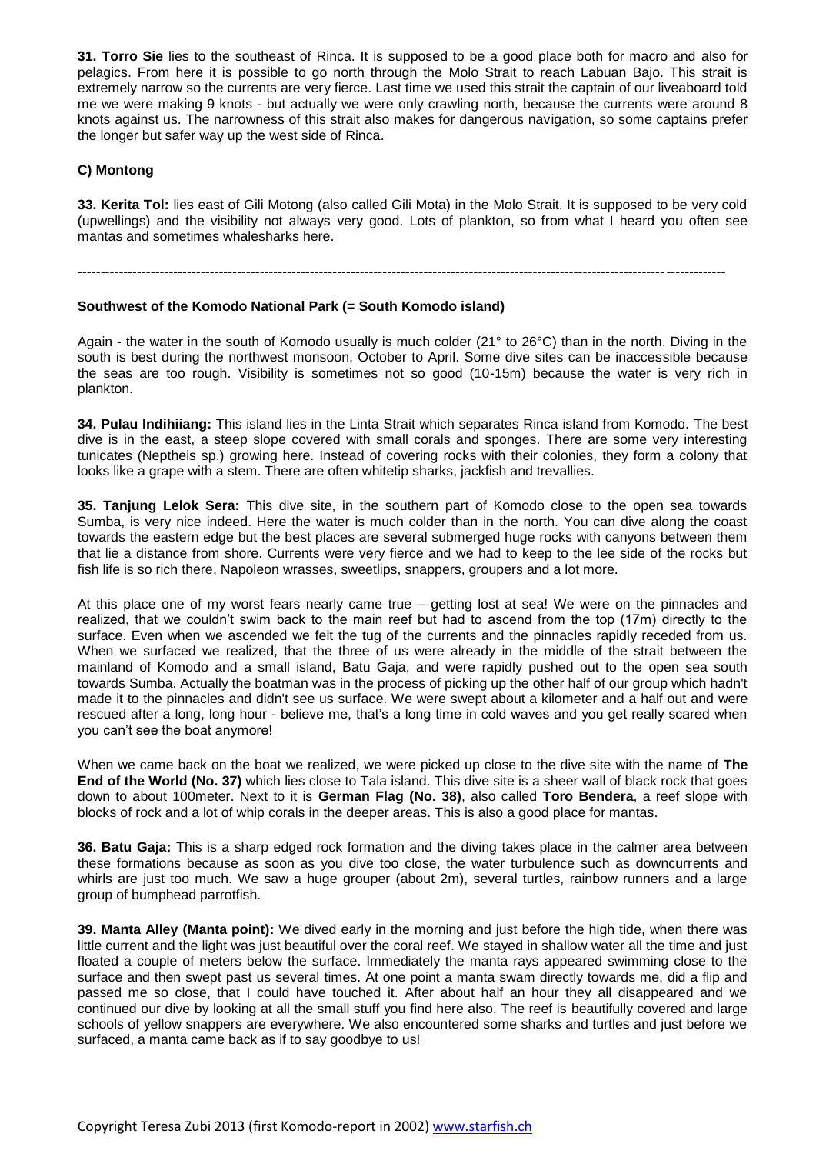**31. Torro Sie** lies to the southeast of Rinca. It is supposed to be a good place both for macro and also for pelagics. From here it is possible to go north through the Molo Strait to reach Labuan Bajo. This strait is extremely narrow so the currents are very fierce. Last time we used this strait the captain of our liveaboard told me we were making 9 knots - but actually we were only crawling north, because the currents were around 8 knots against us. The narrowness of this strait also makes for dangerous navigation, so some captains prefer the longer but safer way up the west side of Rinca.

# **C) Montong**

**33. Kerita Tol:** lies east of Gili Motong (also called Gili Mota) in the Molo Strait. It is supposed to be very cold (upwellings) and the visibility not always very good. Lots of plankton, so from what I heard you often see mantas and sometimes whalesharks here.

----------------------------------------------------------------------------------------------------------------------------------------------

## **Southwest of the Komodo National Park (= South Komodo island)**

Again - the water in the south of Komodo usually is much colder (21° to 26°C) than in the north. Diving in the south is best during the northwest monsoon, October to April. Some dive sites can be inaccessible because the seas are too rough. Visibility is sometimes not so good (10-15m) because the water is very rich in plankton.

**34. Pulau Indihiiang:** This island lies in the Linta Strait which separates Rinca island from Komodo. The best dive is in the east, a steep slope covered with small corals and sponges. There are some very interesting tunicates (Neptheis sp.) growing here. Instead of covering rocks with their colonies, they form a colony that looks like a grape with a stem. There are often whitetip sharks, jackfish and trevallies.

**35. Tanjung Lelok Sera:** This dive site, in the southern part of Komodo close to the open sea towards Sumba, is very nice indeed. Here the water is much colder than in the north. You can dive along the coast towards the eastern edge but the best places are several submerged huge rocks with canyons between them that lie a distance from shore. Currents were very fierce and we had to keep to the lee side of the rocks but fish life is so rich there, Napoleon wrasses, sweetlips, snappers, groupers and a lot more.

At this place one of my worst fears nearly came true – getting lost at sea! We were on the pinnacles and realized, that we couldn't swim back to the main reef but had to ascend from the top (17m) directly to the surface. Even when we ascended we felt the tug of the currents and the pinnacles rapidly receded from us. When we surfaced we realized, that the three of us were already in the middle of the strait between the mainland of Komodo and a small island, Batu Gaja, and were rapidly pushed out to the open sea south towards Sumba. Actually the boatman was in the process of picking up the other half of our group which hadn't made it to the pinnacles and didn't see us surface. We were swept about a kilometer and a half out and were rescued after a long, long hour - believe me, that's a long time in cold waves and you get really scared when you can't see the boat anymore!

When we came back on the boat we realized, we were picked up close to the dive site with the name of **The End of the World (No. 37)** which lies close to Tala island. This dive site is a sheer wall of black rock that goes down to about 100meter. Next to it is **German Flag (No. 38)**, also called **Toro Bendera**, a reef slope with blocks of rock and a lot of whip corals in the deeper areas. This is also a good place for mantas.

**36. Batu Gaja:** This is a sharp edged rock formation and the diving takes place in the calmer area between these formations because as soon as you dive too close, the water turbulence such as downcurrents and whirls are just too much. We saw a huge grouper (about 2m), several turtles, rainbow runners and a large group of bumphead parrotfish.

**39. Manta Alley (Manta point):** We dived early in the morning and just before the high tide, when there was little current and the light was just beautiful over the coral reef. We stayed in shallow water all the time and just floated a couple of meters below the surface. Immediately the manta rays appeared swimming close to the surface and then swept past us several times. At one point a manta swam directly towards me, did a flip and passed me so close, that I could have touched it. After about half an hour they all disappeared and we continued our dive by looking at all the small stuff you find here also. The reef is beautifully covered and large schools of yellow snappers are everywhere. We also encountered some sharks and turtles and just before we surfaced, a manta came back as if to say goodbye to us!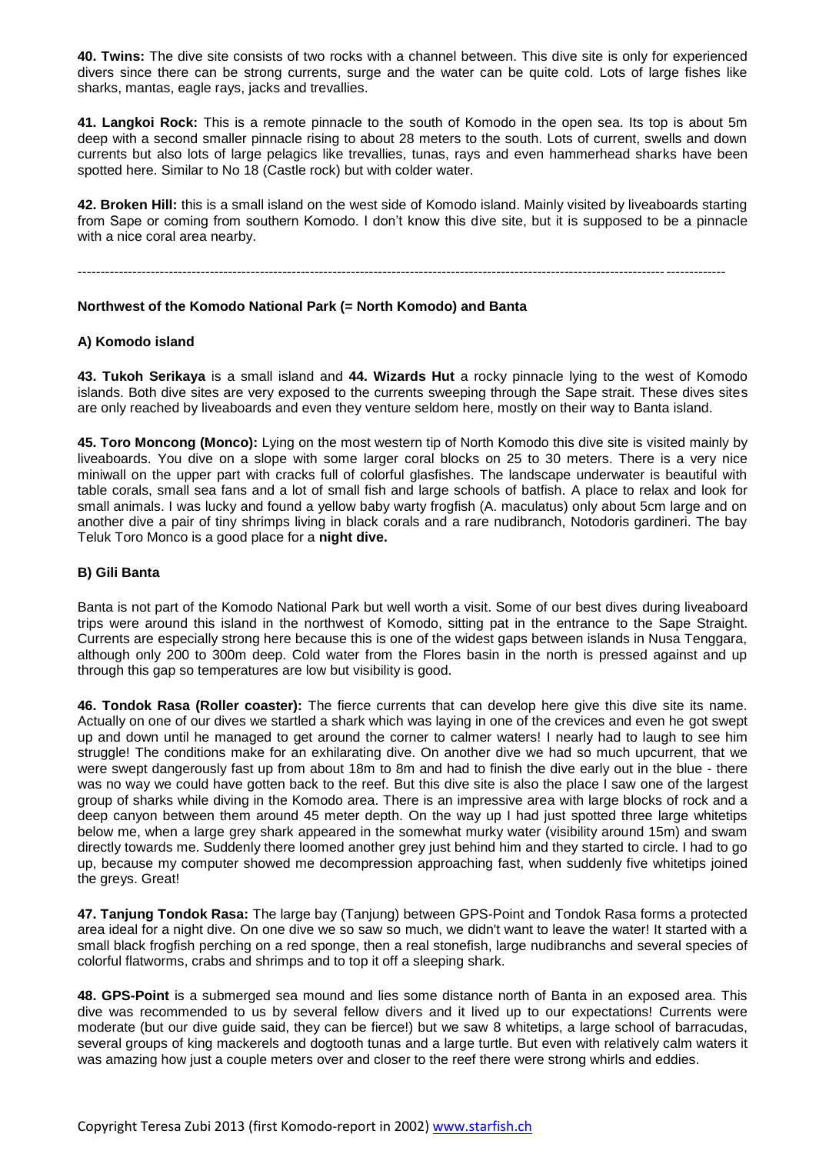**40. Twins:** The dive site consists of two rocks with a channel between. This dive site is only for experienced divers since there can be strong currents, surge and the water can be quite cold. Lots of large fishes like sharks, mantas, eagle rays, jacks and trevallies.

**41. Langkoi Rock:** This is a remote pinnacle to the south of Komodo in the open sea. Its top is about 5m deep with a second smaller pinnacle rising to about 28 meters to the south. Lots of current, swells and down currents but also lots of large pelagics like trevallies, tunas, rays and even hammerhead sharks have been spotted here. Similar to No 18 (Castle rock) but with colder water.

**42. Broken Hill:** this is a small island on the west side of Komodo island. Mainly visited by liveaboards starting from Sape or coming from southern Komodo. I don't know this dive site, but it is supposed to be a pinnacle with a nice coral area nearby.

----------------------------------------------------------------------------------------------------------------------------------------------

## **Northwest of the Komodo National Park (= North Komodo) and Banta**

## **A) Komodo island**

**43. Tukoh Serikaya** is a small island and **44. Wizards Hut** a rocky pinnacle lying to the west of Komodo islands. Both dive sites are very exposed to the currents sweeping through the Sape strait. These dives sites are only reached by liveaboards and even they venture seldom here, mostly on their way to Banta island.

**45. Toro Moncong (Monco):** Lying on the most western tip of North Komodo this dive site is visited mainly by liveaboards. You dive on a slope with some larger coral blocks on 25 to 30 meters. There is a very nice miniwall on the upper part with cracks full of colorful glasfishes. The landscape underwater is beautiful with table corals, small sea fans and a lot of small fish and large schools of batfish. A place to relax and look for small animals. I was lucky and found a yellow baby warty frogfish (A. maculatus) only about 5cm large and on another dive a pair of tiny shrimps living in black corals and a rare nudibranch, Notodoris gardineri. The bay Teluk Toro Monco is a good place for a **night dive.**

#### **B) Gili Banta**

Banta is not part of the Komodo National Park but well worth a visit. Some of our best dives during liveaboard trips were around this island in the northwest of Komodo, sitting pat in the entrance to the Sape Straight. Currents are especially strong here because this is one of the widest gaps between islands in Nusa Tenggara, although only 200 to 300m deep. Cold water from the Flores basin in the north is pressed against and up through this gap so temperatures are low but visibility is good.

**46. Tondok Rasa (Roller coaster):** The fierce currents that can develop here give this dive site its name. Actually on one of our dives we startled a shark which was laying in one of the crevices and even he got swept up and down until he managed to get around the corner to calmer waters! I nearly had to laugh to see him struggle! The conditions make for an exhilarating dive. On another dive we had so much upcurrent, that we were swept dangerously fast up from about 18m to 8m and had to finish the dive early out in the blue - there was no way we could have gotten back to the reef. But this dive site is also the place I saw one of the largest group of sharks while diving in the Komodo area. There is an impressive area with large blocks of rock and a deep canyon between them around 45 meter depth. On the way up I had just spotted three large whitetips below me, when a large grey shark appeared in the somewhat murky water (visibility around 15m) and swam directly towards me. Suddenly there loomed another grey just behind him and they started to circle. I had to go up, because my computer showed me decompression approaching fast, when suddenly five whitetips joined the greys. Great!

**47. Tanjung Tondok Rasa:** The large bay (Tanjung) between GPS-Point and Tondok Rasa forms a protected area ideal for a night dive. On one dive we so saw so much, we didn't want to leave the water! It started with a small black frogfish perching on a red sponge, then a real stonefish, large nudibranchs and several species of colorful flatworms, crabs and shrimps and to top it off a sleeping shark.

**48. GPS-Point** is a submerged sea mound and lies some distance north of Banta in an exposed area. This dive was recommended to us by several fellow divers and it lived up to our expectations! Currents were moderate (but our dive guide said, they can be fierce!) but we saw 8 whitetips, a large school of barracudas, several groups of king mackerels and dogtooth tunas and a large turtle. But even with relatively calm waters it was amazing how just a couple meters over and closer to the reef there were strong whirls and eddies.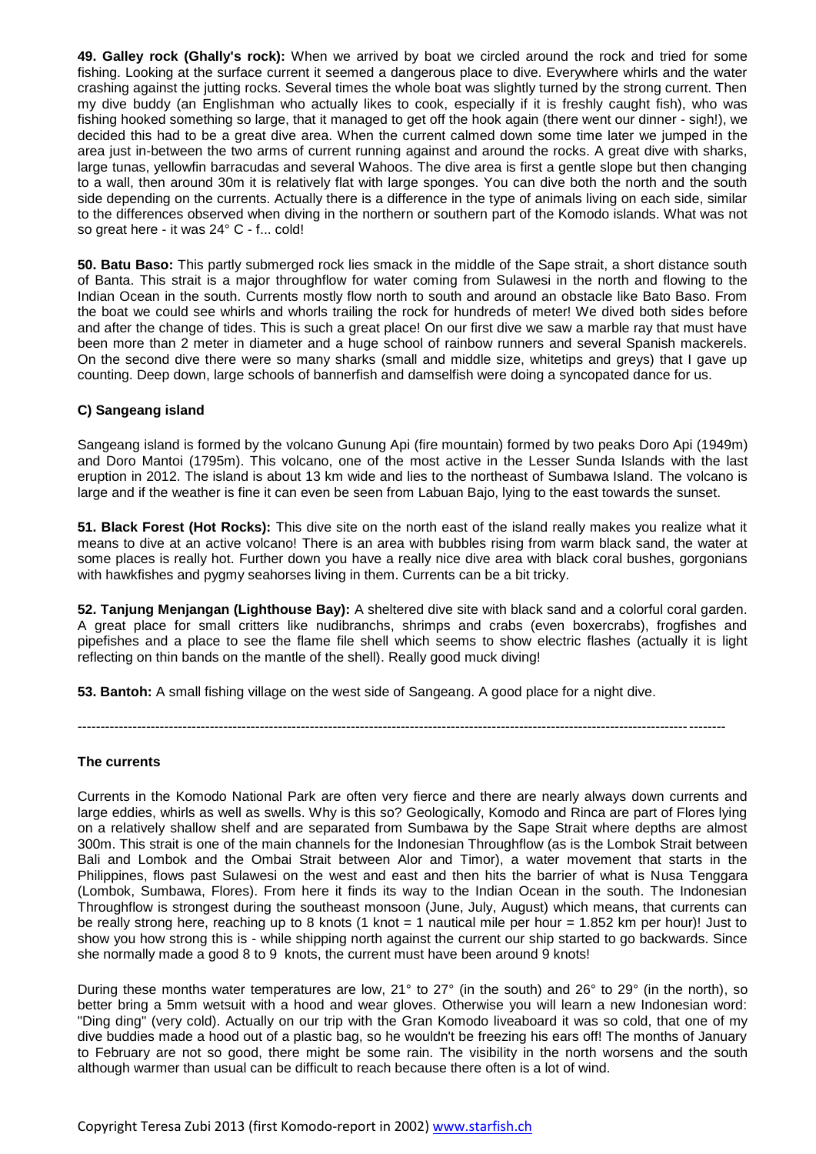**49. Galley rock (Ghally's rock):** When we arrived by boat we circled around the rock and tried for some fishing. Looking at the surface current it seemed a dangerous place to dive. Everywhere whirls and the water crashing against the jutting rocks. Several times the whole boat was slightly turned by the strong current. Then my dive buddy (an Englishman who actually likes to cook, especially if it is freshly caught fish), who was fishing hooked something so large, that it managed to get off the hook again (there went our dinner - sigh!), we decided this had to be a great dive area. When the current calmed down some time later we jumped in the area just in-between the two arms of current running against and around the rocks. A great dive with sharks, large tunas, yellowfin barracudas and several Wahoos. The dive area is first a gentle slope but then changing to a wall, then around 30m it is relatively flat with large sponges. You can dive both the north and the south side depending on the currents. Actually there is a difference in the type of animals living on each side, similar to the differences observed when diving in the northern or southern part of the Komodo islands. What was not so great here - it was 24° C - f... cold!

**50. Batu Baso:** This partly submerged rock lies smack in the middle of the Sape strait, a short distance south of Banta. This strait is a major throughflow for water coming from Sulawesi in the north and flowing to the Indian Ocean in the south. Currents mostly flow north to south and around an obstacle like Bato Baso. From the boat we could see whirls and whorls trailing the rock for hundreds of meter! We dived both sides before and after the change of tides. This is such a great place! On our first dive we saw a marble ray that must have been more than 2 meter in diameter and a huge school of rainbow runners and several Spanish mackerels. On the second dive there were so many sharks (small and middle size, whitetips and greys) that I gave up counting. Deep down, large schools of bannerfish and damselfish were doing a syncopated dance for us.

# **C) Sangeang island**

Sangeang island is formed by the volcano Gunung Api (fire mountain) formed by two peaks Doro Api (1949m) and Doro Mantoi (1795m). This volcano, one of the most active in the Lesser Sunda Islands with the last eruption in 2012. The island is about 13 km wide and lies to the northeast of Sumbawa Island. The volcano is large and if the weather is fine it can even be seen from Labuan Bajo, lying to the east towards the sunset.

**51. Black Forest (Hot Rocks):** This dive site on the north east of the island really makes you realize what it means to dive at an active volcano! There is an area with bubbles rising from warm black sand, the water at some places is really hot. Further down you have a really nice dive area with black coral bushes, gorgonians with hawkfishes and pygmy seahorses living in them. Currents can be a bit tricky.

**52. Tanjung Menjangan (Lighthouse Bay):** A sheltered dive site with black sand and a colorful coral garden. A great place for small critters like nudibranchs, shrimps and crabs (even boxercrabs), frogfishes and pipefishes and a place to see the flame file shell which seems to show electric flashes (actually it is light reflecting on thin bands on the mantle of the shell). Really good muck diving!

**53. Bantoh:** A small fishing village on the west side of Sangeang. A good place for a night dive.

----------------------------------------------------------------------------------------------------------------------------------------------

#### **The currents**

Currents in the Komodo National Park are often very fierce and there are nearly always down currents and large eddies, whirls as well as swells. Why is this so? Geologically, Komodo and Rinca are part of Flores lying on a relatively shallow shelf and are separated from Sumbawa by the Sape Strait where depths are almost 300m. This strait is one of the main channels for the Indonesian Throughflow (as is the Lombok Strait between Bali and Lombok and the Ombai Strait between Alor and Timor), a water movement that starts in the Philippines, flows past Sulawesi on the west and east and then hits the barrier of what is Nusa Tenggara (Lombok, Sumbawa, Flores). From here it finds its way to the Indian Ocean in the south. The Indonesian Throughflow is strongest during the southeast monsoon (June, July, August) which means, that currents can be really strong here, reaching up to 8 knots (1 knot = 1 nautical mile per hour = 1.852 km per hour)! Just to show you how strong this is - while shipping north against the current our ship started to go backwards. Since she normally made a good 8 to 9 knots, the current must have been around 9 knots!

During these months water temperatures are low, 21° to 27° (in the south) and 26° to 29° (in the north), so better bring a 5mm wetsuit with a hood and wear gloves. Otherwise you will learn a new Indonesian word: "Ding ding" (very cold). Actually on our trip with the Gran Komodo liveaboard it was so cold, that one of my dive buddies made a hood out of a plastic bag, so he wouldn't be freezing his ears off! The months of January to February are not so good, there might be some rain. The visibility in the north worsens and the south although warmer than usual can be difficult to reach because there often is a lot of wind.